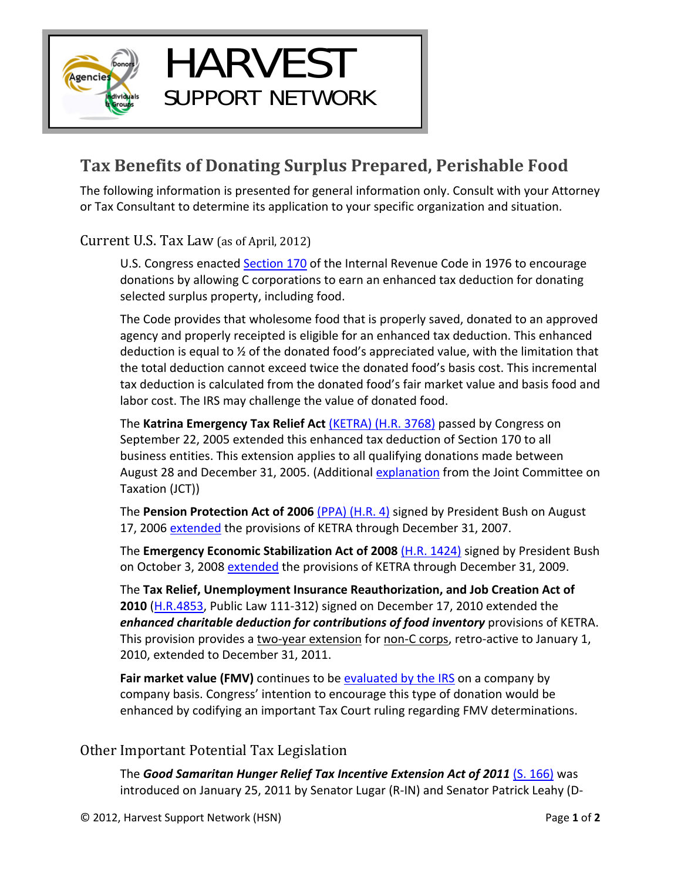

## **Tax Benefits of Donating Surplus Prepared, Perishable Food**

HARVEST

SUPPORT NETWORK

The following information is presented for general information only. Consult with your Attorney or Tax Consultant to determine its application to your specific organization and situation.

Current U.S. Tax Law (as of April, 2012)

U.S. Congress enacted Section 170 of the Internal Revenue Code in 1976 to encourage donations by allowing C corporations to earn an enhanced tax deduction for donating selected surplus property, including food.

The Code provides that wholesome food that is properly saved, donated to an approved agency and properly receipted is eligible for an enhanced tax deduction. This enhanced deduction is equal to ½ of the donated food's appreciated value, with the limitation that the total deduction cannot exceed twice the donated food's basis cost. This incremental tax deduction is calculated from the donated food's fair market value and basis food and labor cost. The IRS may challenge the value of donated food.

The **Katrina Emergency Tax Relief Act** (KETRA) (H.R. 3768) passed by Congress on September 22, 2005 extended this enhanced tax deduction of Section 170 to all business entities. This extension applies to all qualifying donations made between August 28 and December 31, 2005. (Additional explanation from the Joint Committee on Taxation (JCT))

The **Pension Protection Act of 2006** (PPA) (H.R. 4) signed by President Bush on August 17, 2006 extended the provisions of KETRA through December 31, 2007.

The **Emergency Economic Stabilization Act of 2008** (H.R. 1424) signed by President Bush on October 3, 2008 extended the provisions of KETRA through December 31, 2009.

The **Tax Relief, Unemployment Insurance Reauthorization, and Job Creation Act of 2010** (H.R.4853, Public Law 111‐312) signed on December 17, 2010 extended the *enhanced charitable deduction for contributions of food inventory* provisions of KETRA. This provision provides a two-year extension for non-C corps, retro-active to January 1, 2010, extended to December 31, 2011.

Fair market value (FMV) continues to be evaluated by the IRS on a company by company basis. Congress' intention to encourage this type of donation would be enhanced by codifying an important Tax Court ruling regarding FMV determinations.

## Other Important Potential Tax Legislation

The *Good Samaritan Hunger Relief Tax Incentive Extension Act of 2011* (S. 166) was introduced on January 25, 2011 by Senator Lugar (R‐IN) and Senator Patrick Leahy (D‐